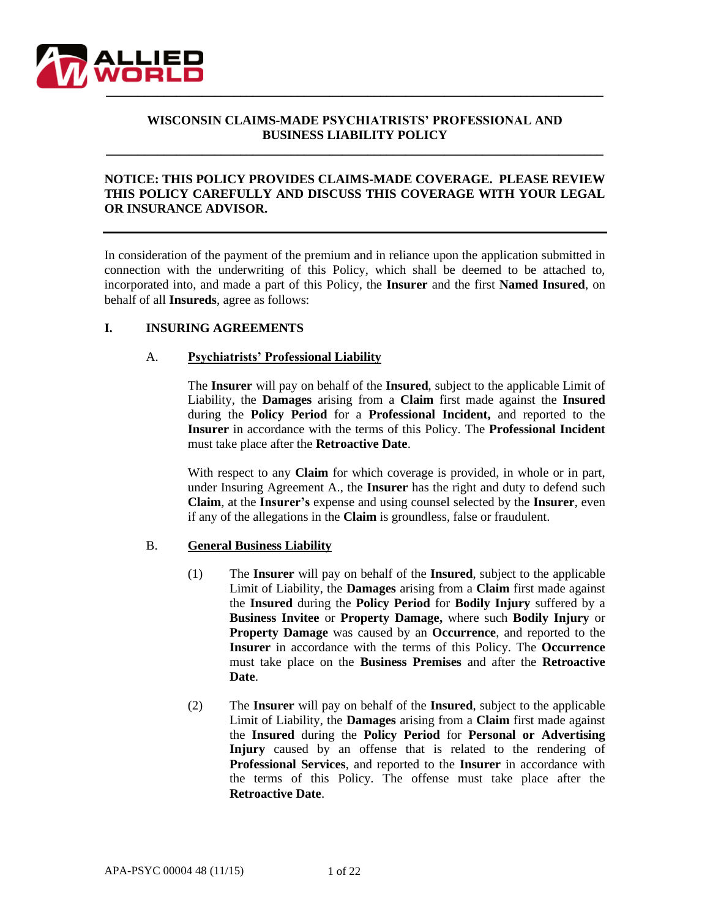

## **WISCONSIN CLAIMS-MADE PSYCHIATRISTS' PROFESSIONAL AND BUSINESS LIABILITY POLICY**

**\_\_\_\_\_\_\_\_\_\_\_\_\_\_\_\_\_\_\_\_\_\_\_\_\_\_\_\_\_\_\_\_\_\_\_\_\_\_\_\_\_\_\_\_\_\_\_\_\_\_\_\_\_\_\_\_\_\_\_\_\_\_\_\_\_\_\_\_\_\_\_\_\_\_\_\_\_\_**

## **NOTICE: THIS POLICY PROVIDES CLAIMS-MADE COVERAGE. PLEASE REVIEW THIS POLICY CAREFULLY AND DISCUSS THIS COVERAGE WITH YOUR LEGAL OR INSURANCE ADVISOR.**

In consideration of the payment of the premium and in reliance upon the application submitted in connection with the underwriting of this Policy, which shall be deemed to be attached to, incorporated into, and made a part of this Policy, the **Insurer** and the first **Named Insured**, on behalf of all **Insureds**, agree as follows:

### **I. INSURING AGREEMENTS**

### A. **Psychiatrists' Professional Liability**

The **Insurer** will pay on behalf of the **Insured**, subject to the applicable Limit of Liability, the **Damages** arising from a **Claim** first made against the **Insured** during the **Policy Period** for a **Professional Incident,** and reported to the **Insurer** in accordance with the terms of this Policy. The **Professional Incident** must take place after the **Retroactive Date**.

With respect to any **Claim** for which coverage is provided, in whole or in part, under Insuring Agreement A., the **Insurer** has the right and duty to defend such **Claim**, at the **Insurer's** expense and using counsel selected by the **Insurer**, even if any of the allegations in the **Claim** is groundless, false or fraudulent.

### B. **General Business Liability**

- (1) The **Insurer** will pay on behalf of the **Insured**, subject to the applicable Limit of Liability, the **Damages** arising from a **Claim** first made against the **Insured** during the **Policy Period** for **Bodily Injury** suffered by a **Business Invitee** or **Property Damage,** where such **Bodily Injury** or **Property Damage** was caused by an **Occurrence**, and reported to the **Insurer** in accordance with the terms of this Policy. The **Occurrence** must take place on the **Business Premises** and after the **Retroactive Date**.
- (2) The **Insurer** will pay on behalf of the **Insured**, subject to the applicable Limit of Liability, the **Damages** arising from a **Claim** first made against the **Insured** during the **Policy Period** for **Personal or Advertising Injury** caused by an offense that is related to the rendering of **Professional Services**, and reported to the **Insurer** in accordance with the terms of this Policy. The offense must take place after the **Retroactive Date**.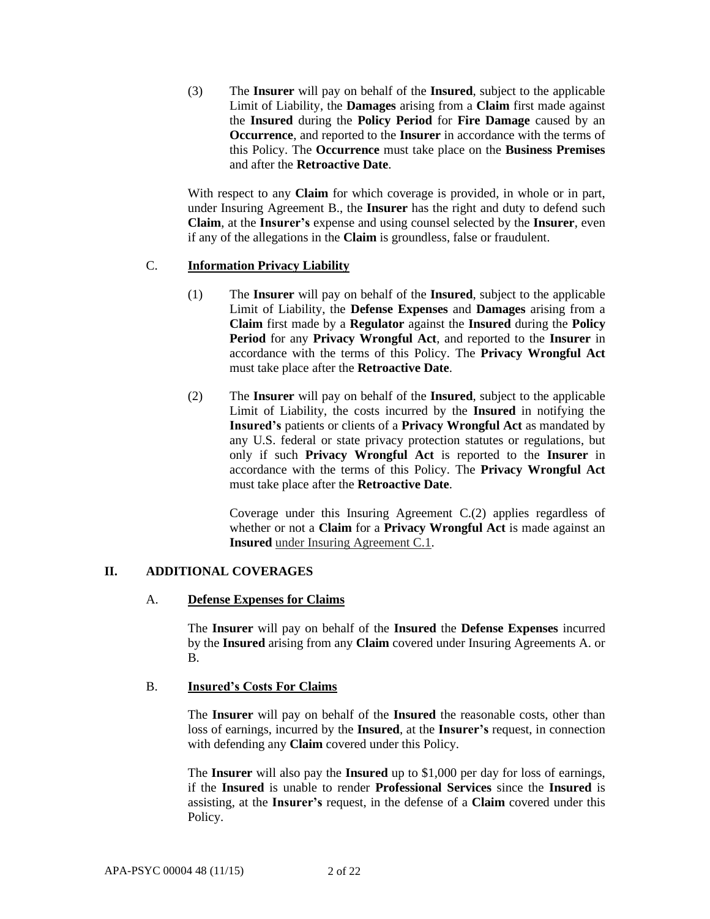(3) The **Insurer** will pay on behalf of the **Insured**, subject to the applicable Limit of Liability, the **Damages** arising from a **Claim** first made against the **Insured** during the **Policy Period** for **Fire Damage** caused by an **Occurrence**, and reported to the **Insurer** in accordance with the terms of this Policy. The **Occurrence** must take place on the **Business Premises** and after the **Retroactive Date**.

With respect to any **Claim** for which coverage is provided, in whole or in part, under Insuring Agreement B., the **Insurer** has the right and duty to defend such **Claim**, at the **Insurer's** expense and using counsel selected by the **Insurer**, even if any of the allegations in the **Claim** is groundless, false or fraudulent.

### C. **Information Privacy Liability**

- (1) The **Insurer** will pay on behalf of the **Insured**, subject to the applicable Limit of Liability, the **Defense Expenses** and **Damages** arising from a **Claim** first made by a **Regulator** against the **Insured** during the **Policy Period** for any **Privacy Wrongful Act**, and reported to the **Insurer** in accordance with the terms of this Policy. The **Privacy Wrongful Act**  must take place after the **Retroactive Date**.
- (2) The **Insurer** will pay on behalf of the **Insured**, subject to the applicable Limit of Liability, the costs incurred by the **Insured** in notifying the **Insured's** patients or clients of a **Privacy Wrongful Act** as mandated by any U.S. federal or state privacy protection statutes or regulations, but only if such **Privacy Wrongful Act** is reported to the **Insurer** in accordance with the terms of this Policy. The **Privacy Wrongful Act**  must take place after the **Retroactive Date**.

Coverage under this Insuring Agreement C.(2) applies regardless of whether or not a **Claim** for a **Privacy Wrongful Act** is made against an **Insured** under Insuring Agreement C.1.

### **II. ADDITIONAL COVERAGES**

### A. **Defense Expenses for Claims**

The **Insurer** will pay on behalf of the **Insured** the **Defense Expenses** incurred by the **Insured** arising from any **Claim** covered under Insuring Agreements A. or B.

### B. **Insured's Costs For Claims**

The **Insurer** will pay on behalf of the **Insured** the reasonable costs, other than loss of earnings, incurred by the **Insured**, at the **Insurer's** request, in connection with defending any **Claim** covered under this Policy.

The **Insurer** will also pay the **Insured** up to \$1,000 per day for loss of earnings, if the **Insured** is unable to render **Professional Services** since the **Insured** is assisting, at the **Insurer's** request, in the defense of a **Claim** covered under this Policy.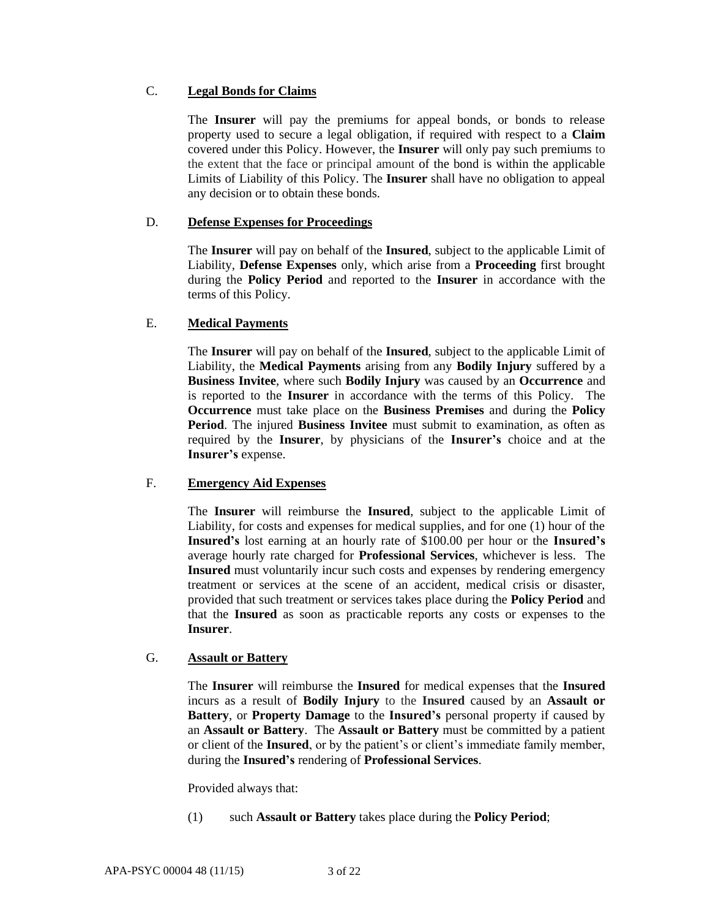## C. **Legal Bonds for Claims**

The **Insurer** will pay the premiums for appeal bonds, or bonds to release property used to secure a legal obligation, if required with respect to a **Claim** covered under this Policy. However, the **Insurer** will only pay such premiums to the extent that the face or principal amount of the bond is within the applicable Limits of Liability of this Policy. The **Insurer** shall have no obligation to appeal any decision or to obtain these bonds.

## D. **Defense Expenses for Proceedings**

The **Insurer** will pay on behalf of the **Insured**, subject to the applicable Limit of Liability, **Defense Expenses** only, which arise from a **Proceeding** first brought during the **Policy Period** and reported to the **Insurer** in accordance with the terms of this Policy.

## E. **Medical Payments**

The **Insurer** will pay on behalf of the **Insured**, subject to the applicable Limit of Liability, the **Medical Payments** arising from any **Bodily Injury** suffered by a **Business Invitee**, where such **Bodily Injury** was caused by an **Occurrence** and is reported to the **Insurer** in accordance with the terms of this Policy. The **Occurrence** must take place on the **Business Premises** and during the **Policy Period**. The injured **Business Invitee** must submit to examination, as often as required by the **Insurer**, by physicians of the **Insurer's** choice and at the **Insurer's** expense.

### F. **Emergency Aid Expenses**

The **Insurer** will reimburse the **Insured**, subject to the applicable Limit of Liability, for costs and expenses for medical supplies, and for one (1) hour of the **Insured's** lost earning at an hourly rate of \$100.00 per hour or the **Insured's**  average hourly rate charged for **Professional Services**, whichever is less. The **Insured** must voluntarily incur such costs and expenses by rendering emergency treatment or services at the scene of an accident, medical crisis or disaster, provided that such treatment or services takes place during the **Policy Period** and that the **Insured** as soon as practicable reports any costs or expenses to the **Insurer**.

# G. **Assault or Battery**

The **Insurer** will reimburse the **Insured** for medical expenses that the **Insured** incurs as a result of **Bodily Injury** to the **Insured** caused by an **Assault or Battery**, or **Property Damage** to the **Insured's** personal property if caused by an **Assault or Battery**. The **Assault or Battery** must be committed by a patient or client of the **Insured**, or by the patient's or client's immediate family member, during the **Insured's** rendering of **Professional Services**.

Provided always that:

(1) such **Assault or Battery** takes place during the **Policy Period**;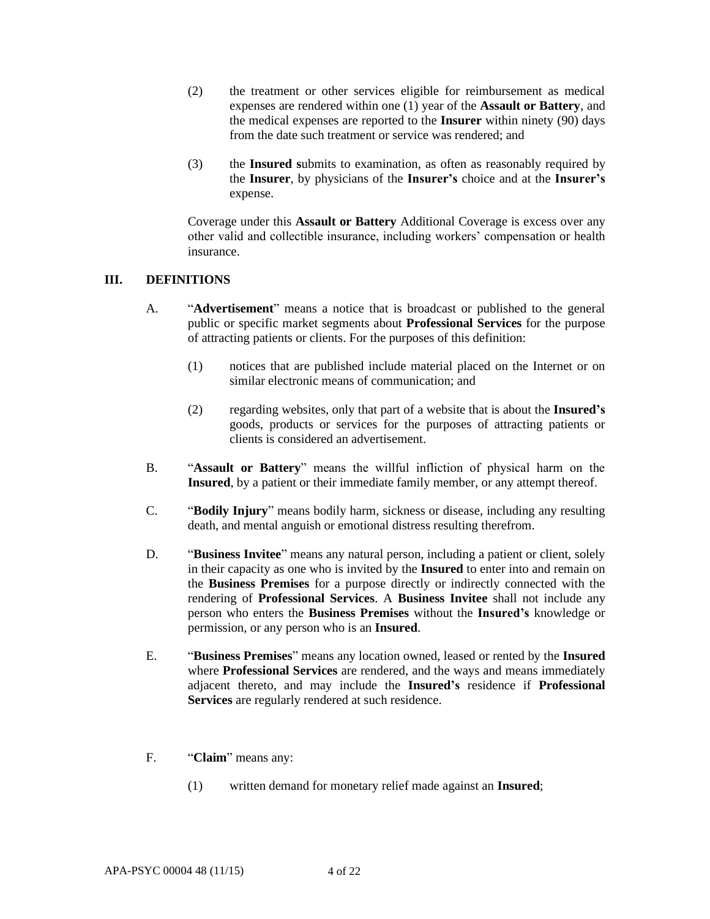- (2) the treatment or other services eligible for reimbursement as medical expenses are rendered within one (1) year of the **Assault or Battery**, and the medical expenses are reported to the **Insurer** within ninety (90) days from the date such treatment or service was rendered; and
- (3) the **Insured s**ubmits to examination, as often as reasonably required by the **Insurer**, by physicians of the **Insurer's** choice and at the **Insurer's** expense.

Coverage under this **Assault or Battery** Additional Coverage is excess over any other valid and collectible insurance, including workers' compensation or health insurance.

## **III. DEFINITIONS**

- A. "**Advertisement**" means a notice that is broadcast or published to the general public or specific market segments about **Professional Services** for the purpose of attracting patients or clients. For the purposes of this definition:
	- (1) notices that are published include material placed on the Internet or on similar electronic means of communication; and
	- (2) regarding websites, only that part of a website that is about the **Insured's** goods, products or services for the purposes of attracting patients or clients is considered an advertisement.
- B. "**Assault or Battery**" means the willful infliction of physical harm on the **Insured**, by a patient or their immediate family member, or any attempt thereof.
- C. "**Bodily Injury**" means bodily harm, sickness or disease, including any resulting death, and mental anguish or emotional distress resulting therefrom.
- D. "**Business Invitee**" means any natural person, including a patient or client, solely in their capacity as one who is invited by the **Insured** to enter into and remain on the **Business Premises** for a purpose directly or indirectly connected with the rendering of **Professional Services**. A **Business Invitee** shall not include any person who enters the **Business Premises** without the **Insured's** knowledge or permission, or any person who is an **Insured**.
- E. "**Business Premises**" means any location owned, leased or rented by the **Insured**  where **Professional Services** are rendered, and the ways and means immediately adjacent thereto, and may include the **Insured's** residence if **Professional Services** are regularly rendered at such residence.
- F. "**Claim**" means any:
	- (1) written demand for monetary relief made against an **Insured**;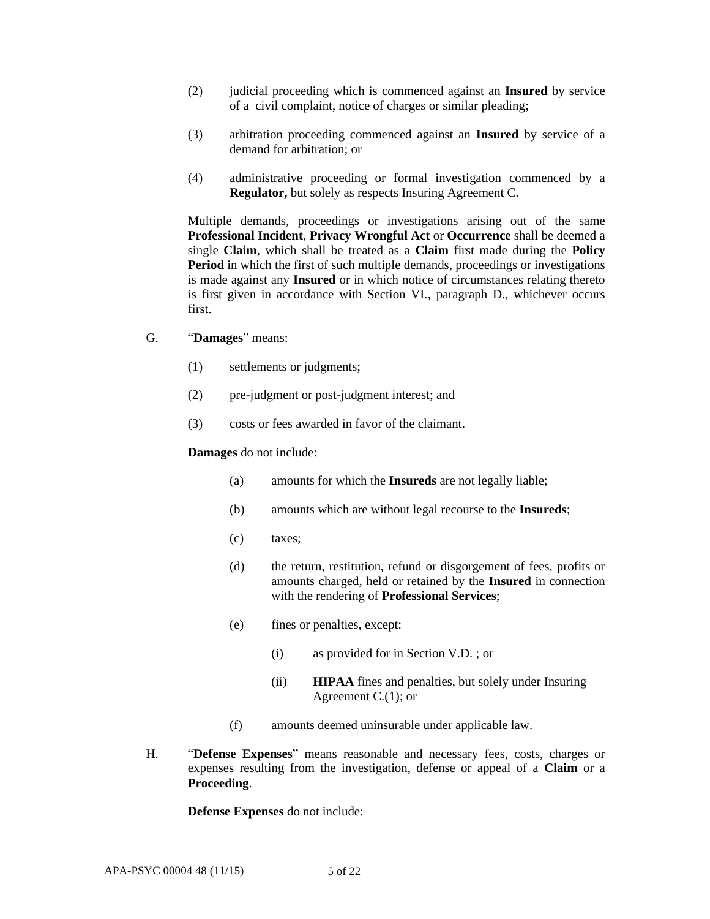- (2) judicial proceeding which is commenced against an **Insured** by service of a civil complaint, notice of charges or similar pleading;
- (3) arbitration proceeding commenced against an **Insured** by service of a demand for arbitration; or
- (4) administrative proceeding or formal investigation commenced by a **Regulator,** but solely as respects Insuring Agreement C.

Multiple demands, proceedings or investigations arising out of the same **Professional Incident**, **Privacy Wrongful Act** or **Occurrence** shall be deemed a single **Claim**, which shall be treated as a **Claim** first made during the **Policy Period** in which the first of such multiple demands, proceedings or investigations is made against any **Insured** or in which notice of circumstances relating thereto is first given in accordance with Section VI., paragraph D., whichever occurs first.

- G. "**Damages**" means:
	- (1) settlements or judgments;
	- (2) pre-judgment or post-judgment interest; and
	- (3) costs or fees awarded in favor of the claimant.

#### **Damages** do not include:

- (a) amounts for which the **Insureds** are not legally liable;
- (b) amounts which are without legal recourse to the **Insureds**;
- (c) taxes;
- (d) the return, restitution, refund or disgorgement of fees, profits or amounts charged, held or retained by the **Insured** in connection with the rendering of **Professional Services**;
- (e) fines or penalties, except:
	- (i) as provided for in Section V.D. ; or
	- (ii) **HIPAA** fines and penalties, but solely under Insuring Agreement C.(1); or
- (f) amounts deemed uninsurable under applicable law.
- H. "**Defense Expenses**" means reasonable and necessary fees, costs, charges or expenses resulting from the investigation, defense or appeal of a **Claim** or a **Proceeding**.

**Defense Expenses** do not include: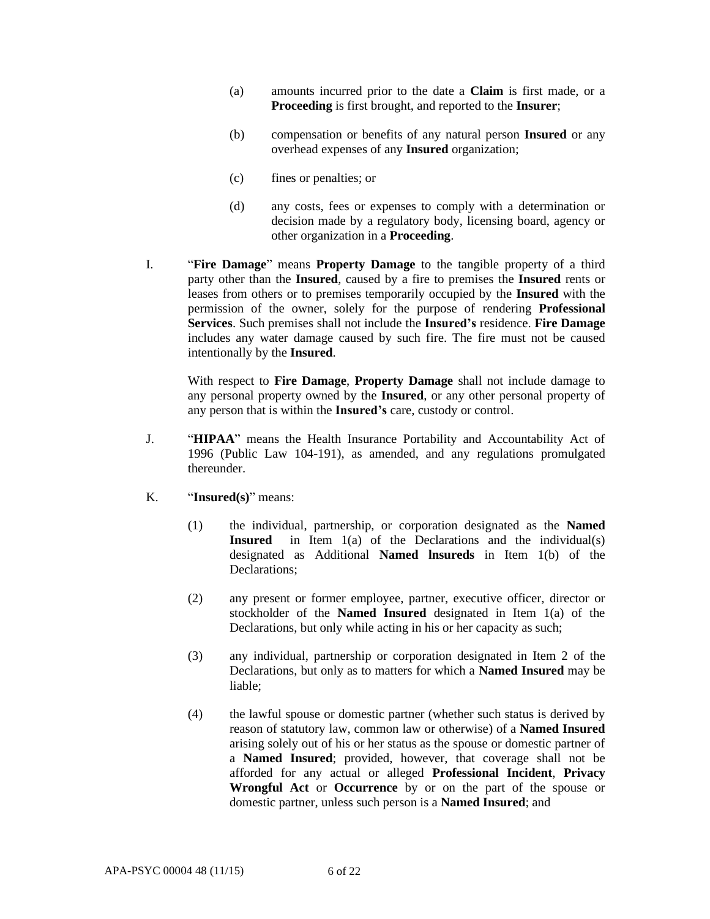- (a) amounts incurred prior to the date a **Claim** is first made, or a **Proceeding** is first brought, and reported to the **Insurer**;
- (b) compensation or benefits of any natural person **Insured** or any overhead expenses of any **Insured** organization;
- (c) fines or penalties; or
- (d) any costs, fees or expenses to comply with a determination or decision made by a regulatory body, licensing board, agency or other organization in a **Proceeding**.
- I. "**Fire Damage**" means **Property Damage** to the tangible property of a third party other than the **Insured**, caused by a fire to premises the **Insured** rents or leases from others or to premises temporarily occupied by the **Insured** with the permission of the owner, solely for the purpose of rendering **Professional Services**. Such premises shall not include the **Insured's** residence. **Fire Damage** includes any water damage caused by such fire. The fire must not be caused intentionally by the **Insured**.

With respect to **Fire Damage**, **Property Damage** shall not include damage to any personal property owned by the **Insured**, or any other personal property of any person that is within the **Insured's** care, custody or control.

- J. "**HIPAA**" means the Health Insurance Portability and Accountability Act of 1996 (Public Law 104-191), as amended, and any regulations promulgated thereunder.
- K. "**Insured(s)**" means:
	- (1) the individual, partnership, or corporation designated as the **Named Insured** in Item 1(a) of the Declarations and the individual(s) designated as Additional **Named lnsureds** in Item 1(b) of the Declarations;
	- (2) any present or former employee, partner, executive officer, director or stockholder of the **Named Insured** designated in Item 1(a) of the Declarations, but only while acting in his or her capacity as such;
	- (3) any individual, partnership or corporation designated in Item 2 of the Declarations, but only as to matters for which a **Named Insured** may be liable;
	- (4) the lawful spouse or domestic partner (whether such status is derived by reason of statutory law, common law or otherwise) of a **Named Insured**  arising solely out of his or her status as the spouse or domestic partner of a **Named Insured**; provided, however, that coverage shall not be afforded for any actual or alleged **Professional Incident**, **Privacy Wrongful Act** or **Occurrence** by or on the part of the spouse or domestic partner, unless such person is a **Named Insured**; and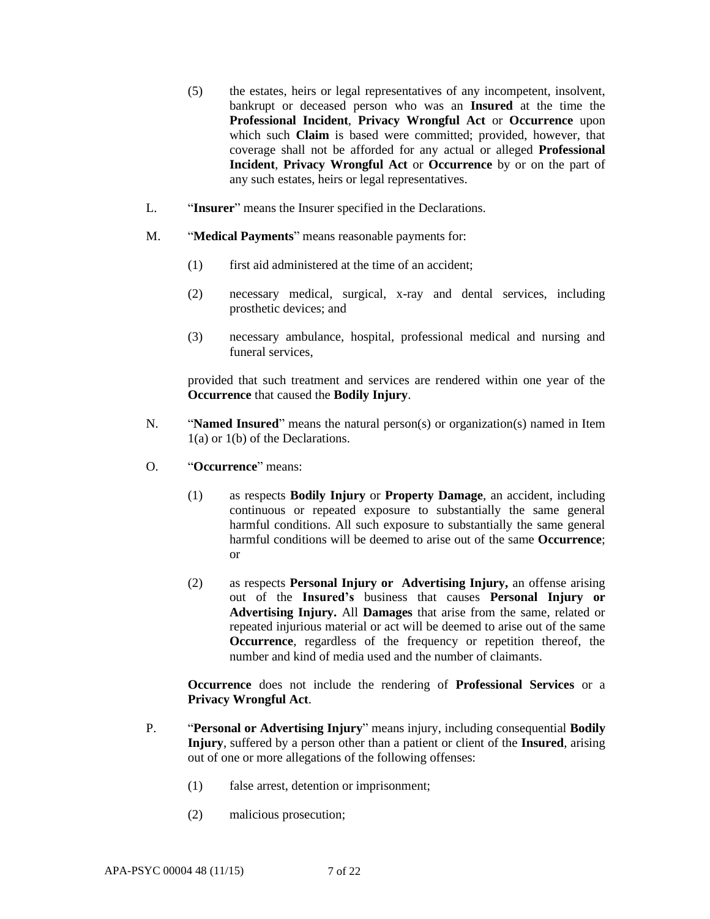- (5) the estates, heirs or legal representatives of any incompetent, insolvent, bankrupt or deceased person who was an **Insured** at the time the **Professional Incident**, **Privacy Wrongful Act** or **Occurrence** upon which such **Claim** is based were committed; provided, however, that coverage shall not be afforded for any actual or alleged **Professional Incident**, **Privacy Wrongful Act** or **Occurrence** by or on the part of any such estates, heirs or legal representatives.
- L. "**Insurer**" means the Insurer specified in the Declarations.
- M. "**Medical Payments**" means reasonable payments for:
	- (1) first aid administered at the time of an accident;
	- (2) necessary medical, surgical, x-ray and dental services, including prosthetic devices; and
	- (3) necessary ambulance, hospital, professional medical and nursing and funeral services,

provided that such treatment and services are rendered within one year of the **Occurrence** that caused the **Bodily Injury**.

- N. "**Named Insured**" means the natural person(s) or organization(s) named in Item 1(a) or 1(b) of the Declarations.
- O. "**Occurrence**" means:
	- (1) as respects **Bodily Injury** or **Property Damage**, an accident, including continuous or repeated exposure to substantially the same general harmful conditions. All such exposure to substantially the same general harmful conditions will be deemed to arise out of the same **Occurrence**; or
	- (2) as respects **Personal Injury or Advertising Injury,** an offense arising out of the **Insured's** business that causes **Personal Injury or Advertising Injury.** All **Damages** that arise from the same, related or repeated injurious material or act will be deemed to arise out of the same **Occurrence**, regardless of the frequency or repetition thereof, the number and kind of media used and the number of claimants.

**Occurrence** does not include the rendering of **Professional Services** or a **Privacy Wrongful Act**.

- P. "**Personal or Advertising Injury**" means injury, including consequential **Bodily Injury**, suffered by a person other than a patient or client of the **Insured**, arising out of one or more allegations of the following offenses:
	- (1) false arrest, detention or imprisonment;
	- (2) malicious prosecution;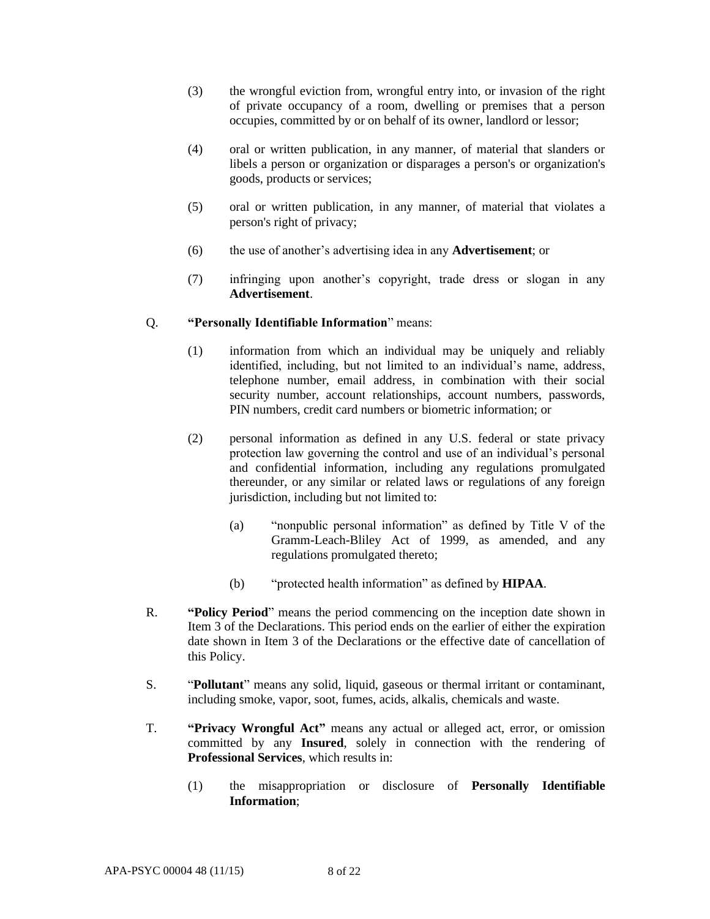- (3) the wrongful eviction from, wrongful entry into, or invasion of the right of private occupancy of a room, dwelling or premises that a person occupies, committed by or on behalf of its owner, landlord or lessor;
- (4) oral or written publication, in any manner, of material that slanders or libels a person or organization or disparages a person's or organization's goods, products or services;
- (5) oral or written publication, in any manner, of material that violates a person's right of privacy;
- (6) the use of another's advertising idea in any **Advertisement**; or
- (7) infringing upon another's copyright, trade dress or slogan in any **Advertisement**.

## Q. **"Personally Identifiable Information**" means:

- (1) information from which an individual may be uniquely and reliably identified, including, but not limited to an individual's name, address, telephone number, email address, in combination with their social security number, account relationships, account numbers, passwords, PIN numbers, credit card numbers or biometric information; or
- (2) personal information as defined in any U.S. federal or state privacy protection law governing the control and use of an individual's personal and confidential information, including any regulations promulgated thereunder, or any similar or related laws or regulations of any foreign jurisdiction, including but not limited to:
	- (a) "nonpublic personal information" as defined by Title V of the Gramm-Leach-Bliley Act of 1999, as amended, and any regulations promulgated thereto;
	- (b) "protected health information" as defined by **HIPAA**.
- R. **"Policy Period**" means the period commencing on the inception date shown in Item 3 of the Declarations. This period ends on the earlier of either the expiration date shown in Item 3 of the Declarations or the effective date of cancellation of this Policy.
- S. "**Pollutant**" means any solid, liquid, gaseous or thermal irritant or contaminant, including smoke, vapor, soot, fumes, acids, alkalis, chemicals and waste.
- T. **"Privacy Wrongful Act"** means any actual or alleged act, error, or omission committed by any **Insured**, solely in connection with the rendering of **Professional Services**, which results in:
	- (1) the misappropriation or disclosure of **Personally Identifiable Information**;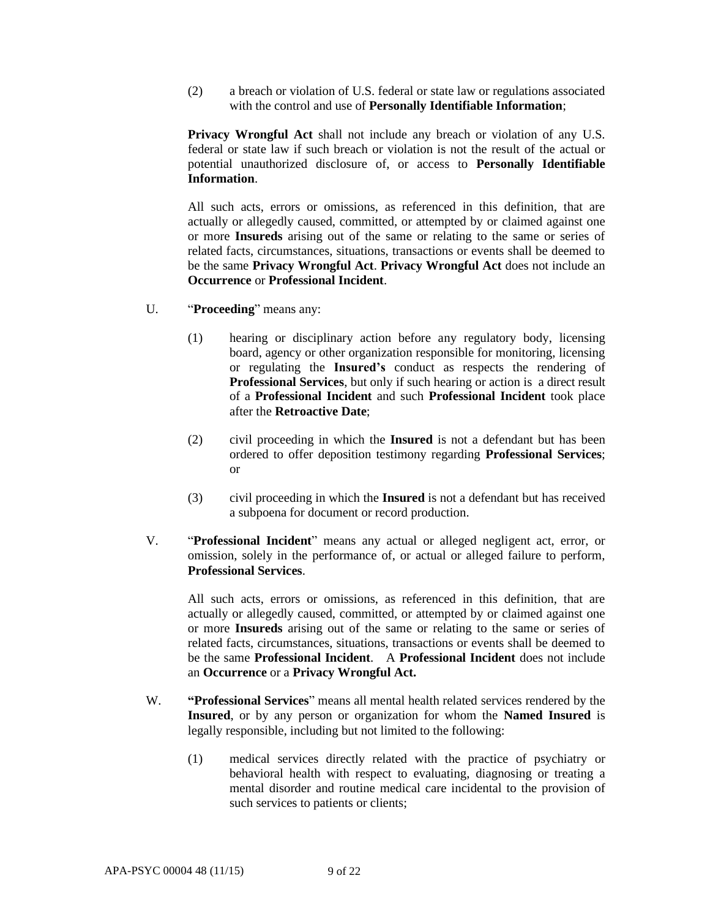(2) a breach or violation of U.S. federal or state law or regulations associated with the control and use of **Personally Identifiable Information**;

**Privacy Wrongful Act** shall not include any breach or violation of any U.S. federal or state law if such breach or violation is not the result of the actual or potential unauthorized disclosure of, or access to **Personally Identifiable Information**.

All such acts, errors or omissions, as referenced in this definition, that are actually or allegedly caused, committed, or attempted by or claimed against one or more **Insureds** arising out of the same or relating to the same or series of related facts, circumstances, situations, transactions or events shall be deemed to be the same **Privacy Wrongful Act**. **Privacy Wrongful Act** does not include an **Occurrence** or **Professional Incident**.

- U. "**Proceeding**" means any:
	- (1) hearing or disciplinary action before any regulatory body, licensing board, agency or other organization responsible for monitoring, licensing or regulating the **Insured's** conduct as respects the rendering of **Professional Services**, but only if such hearing or action is a direct result of a **Professional Incident** and such **Professional Incident** took place after the **Retroactive Date**;
	- (2) civil proceeding in which the **Insured** is not a defendant but has been ordered to offer deposition testimony regarding **Professional Services**; or
	- (3) civil proceeding in which the **Insured** is not a defendant but has received a subpoena for document or record production.
- V. "**Professional Incident**" means any actual or alleged negligent act, error, or omission, solely in the performance of, or actual or alleged failure to perform, **Professional Services**.

All such acts, errors or omissions, as referenced in this definition, that are actually or allegedly caused, committed, or attempted by or claimed against one or more **Insureds** arising out of the same or relating to the same or series of related facts, circumstances, situations, transactions or events shall be deemed to be the same **Professional Incident**. A **Professional Incident** does not include an **Occurrence** or a **Privacy Wrongful Act.**

- W. **"Professional Services**" means all mental health related services rendered by the **Insured**, or by any person or organization for whom the **Named Insured** is legally responsible, including but not limited to the following:
	- (1) medical services directly related with the practice of psychiatry or behavioral health with respect to evaluating, diagnosing or treating a mental disorder and routine medical care incidental to the provision of such services to patients or clients;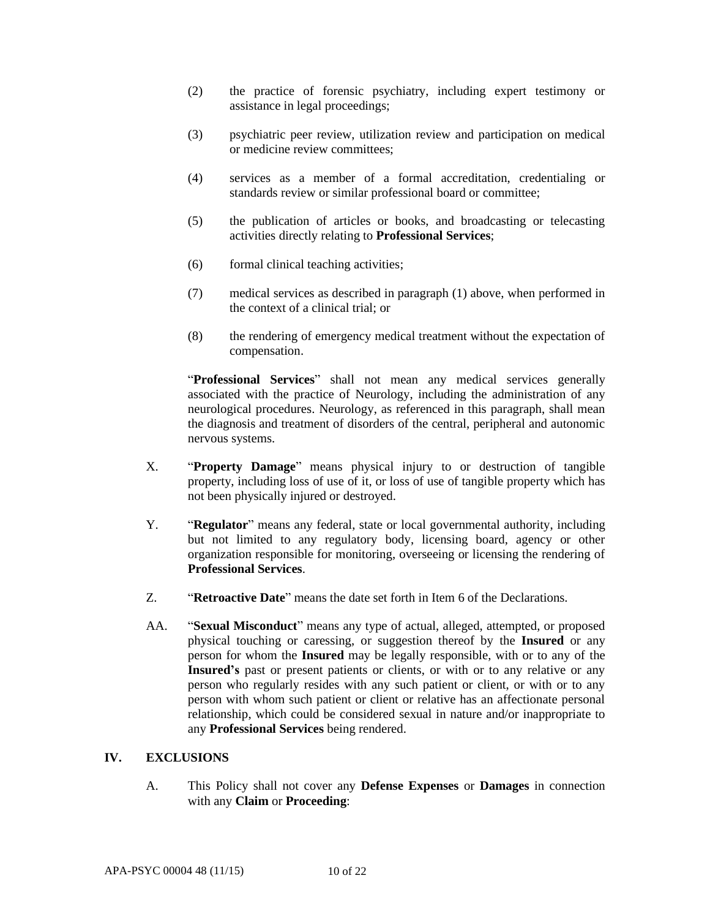- (2) the practice of forensic psychiatry, including expert testimony or assistance in legal proceedings;
- (3) psychiatric peer review, utilization review and participation on medical or medicine review committees;
- (4) services as a member of a formal accreditation, credentialing or standards review or similar professional board or committee;
- (5) the publication of articles or books, and broadcasting or telecasting activities directly relating to **Professional Services**;
- (6) formal clinical teaching activities;
- (7) medical services as described in paragraph (1) above, when performed in the context of a clinical trial; or
- (8) the rendering of emergency medical treatment without the expectation of compensation.

"**Professional Services**" shall not mean any medical services generally associated with the practice of Neurology, including the administration of any neurological procedures. Neurology, as referenced in this paragraph, shall mean the diagnosis and treatment of disorders of the central, peripheral and autonomic nervous systems.

- X. "**Property Damage**" means physical injury to or destruction of tangible property, including loss of use of it, or loss of use of tangible property which has not been physically injured or destroyed.
- Y. "**Regulator**" means any federal, state or local governmental authority, including but not limited to any regulatory body, licensing board, agency or other organization responsible for monitoring, overseeing or licensing the rendering of **Professional Services**.
- Z. "**Retroactive Date**" means the date set forth in Item 6 of the Declarations.
- AA. "**Sexual Misconduct**" means any type of actual, alleged, attempted, or proposed physical touching or caressing, or suggestion thereof by the **Insured** or any person for whom the **Insured** may be legally responsible, with or to any of the **Insured's** past or present patients or clients, or with or to any relative or any person who regularly resides with any such patient or client, or with or to any person with whom such patient or client or relative has an affectionate personal relationship, which could be considered sexual in nature and/or inappropriate to any **Professional Services** being rendered.

#### **IV. EXCLUSIONS**

A. This Policy shall not cover any **Defense Expenses** or **Damages** in connection with any **Claim** or **Proceeding**: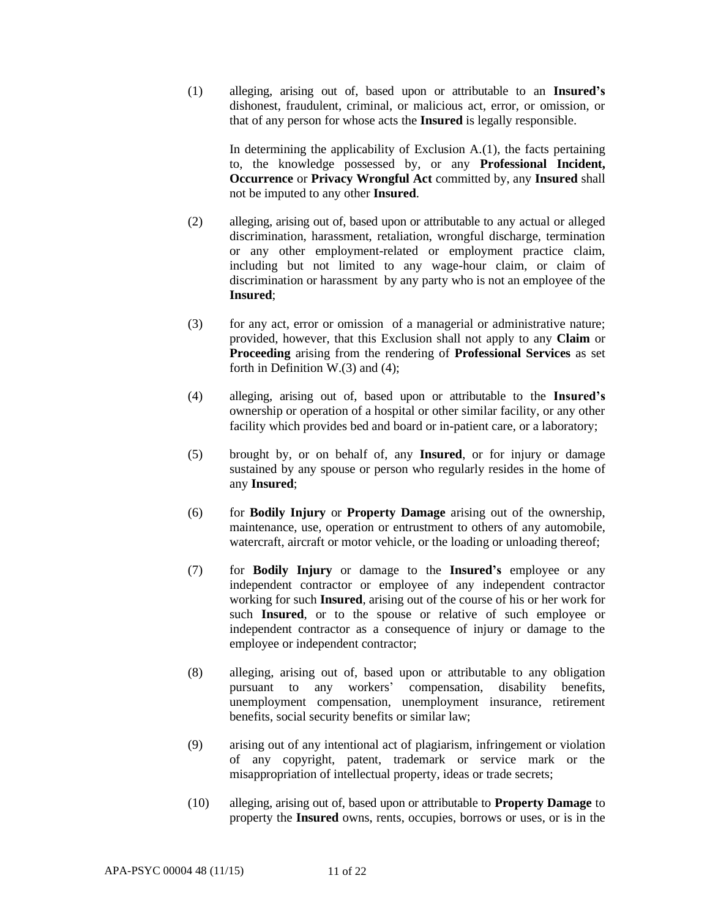(1) alleging, arising out of, based upon or attributable to an **Insured's** dishonest, fraudulent, criminal, or malicious act, error, or omission, or that of any person for whose acts the **Insured** is legally responsible.

> In determining the applicability of Exclusion A.(1), the facts pertaining to, the knowledge possessed by, or any **Professional Incident, Occurrence** or **Privacy Wrongful Act** committed by, any **Insured** shall not be imputed to any other **Insured**.

- (2) alleging, arising out of, based upon or attributable to any actual or alleged discrimination, harassment, retaliation, wrongful discharge, termination or any other employment-related or employment practice claim, including but not limited to any wage-hour claim, or claim of discrimination or harassment by any party who is not an employee of the **Insured**;
- (3) for any act, error or omission of a managerial or administrative nature; provided, however, that this Exclusion shall not apply to any **Claim** or **Proceeding** arising from the rendering of **Professional Services** as set forth in Definition W.(3) and (4);
- (4) alleging, arising out of, based upon or attributable to the **Insured's** ownership or operation of a hospital or other similar facility, or any other facility which provides bed and board or in-patient care, or a laboratory;
- (5) brought by, or on behalf of, any **Insured**, or for injury or damage sustained by any spouse or person who regularly resides in the home of any **Insured**;
- (6) for **Bodily Injury** or **Property Damage** arising out of the ownership, maintenance, use, operation or entrustment to others of any automobile, watercraft, aircraft or motor vehicle, or the loading or unloading thereof;
- (7) for **Bodily Injury** or damage to the **Insured's** employee or any independent contractor or employee of any independent contractor working for such **Insured**, arising out of the course of his or her work for such **Insured**, or to the spouse or relative of such employee or independent contractor as a consequence of injury or damage to the employee or independent contractor;
- (8) alleging, arising out of, based upon or attributable to any obligation pursuant to any workers' compensation, disability benefits, unemployment compensation, unemployment insurance, retirement benefits, social security benefits or similar law;
- (9) arising out of any intentional act of plagiarism, infringement or violation of any copyright, patent, trademark or service mark or the misappropriation of intellectual property, ideas or trade secrets;
- (10) alleging, arising out of, based upon or attributable to **Property Damage** to property the **Insured** owns, rents, occupies, borrows or uses, or is in the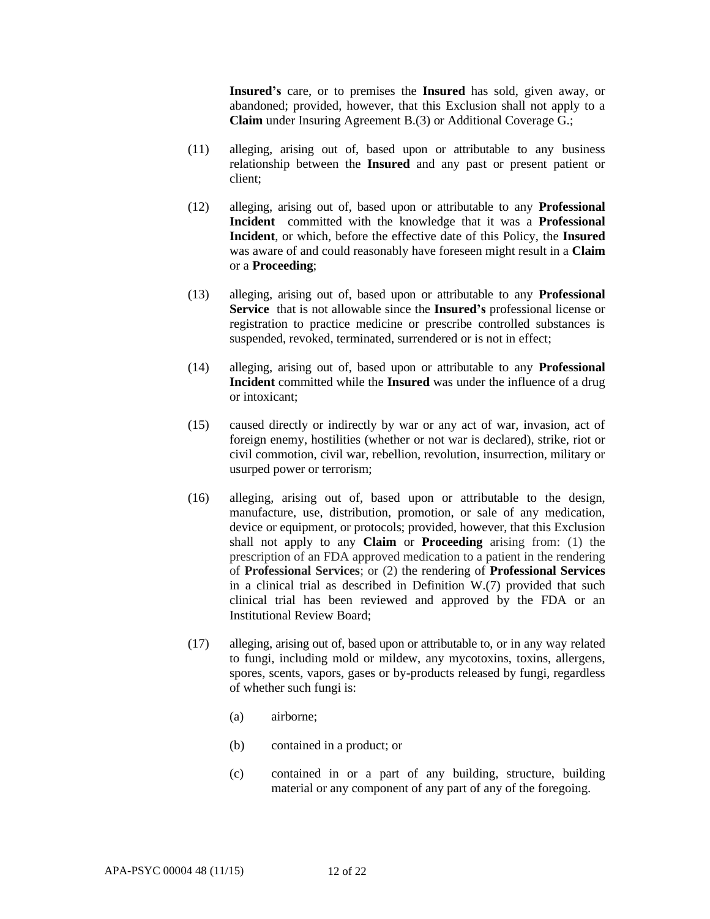**Insured's** care, or to premises the **Insured** has sold, given away, or abandoned; provided, however, that this Exclusion shall not apply to a **Claim** under Insuring Agreement B.(3) or Additional Coverage G.;

- (11) alleging, arising out of, based upon or attributable to any business relationship between the **Insured** and any past or present patient or client;
- (12) alleging, arising out of, based upon or attributable to any **Professional Incident** committed with the knowledge that it was a **Professional Incident**, or which, before the effective date of this Policy, the **Insured** was aware of and could reasonably have foreseen might result in a **Claim** or a **Proceeding**;
- (13) alleging, arising out of, based upon or attributable to any **Professional Service** that is not allowable since the **Insured's** professional license or registration to practice medicine or prescribe controlled substances is suspended, revoked, terminated, surrendered or is not in effect;
- (14) alleging, arising out of, based upon or attributable to any **Professional Incident** committed while the **Insured** was under the influence of a drug or intoxicant;
- (15) caused directly or indirectly by war or any act of war, invasion, act of foreign enemy, hostilities (whether or not war is declared), strike, riot or civil commotion, civil war, rebellion, revolution, insurrection, military or usurped power or terrorism;
- (16) alleging, arising out of, based upon or attributable to the design, manufacture, use, distribution, promotion, or sale of any medication, device or equipment, or protocols; provided, however, that this Exclusion shall not apply to any **Claim** or **Proceeding** arising from: (1) the prescription of an FDA approved medication to a patient in the rendering of **Professional Services**; or (2) the rendering of **Professional Services** in a clinical trial as described in Definition W.(7) provided that such clinical trial has been reviewed and approved by the FDA or an Institutional Review Board;
- (17) alleging, arising out of, based upon or attributable to, or in any way related to fungi, including mold or mildew, any mycotoxins, toxins, allergens, spores, scents, vapors, gases or by-products released by fungi, regardless of whether such fungi is:
	- (a) airborne;
	- (b) contained in a product; or
	- (c) contained in or a part of any building, structure, building material or any component of any part of any of the foregoing.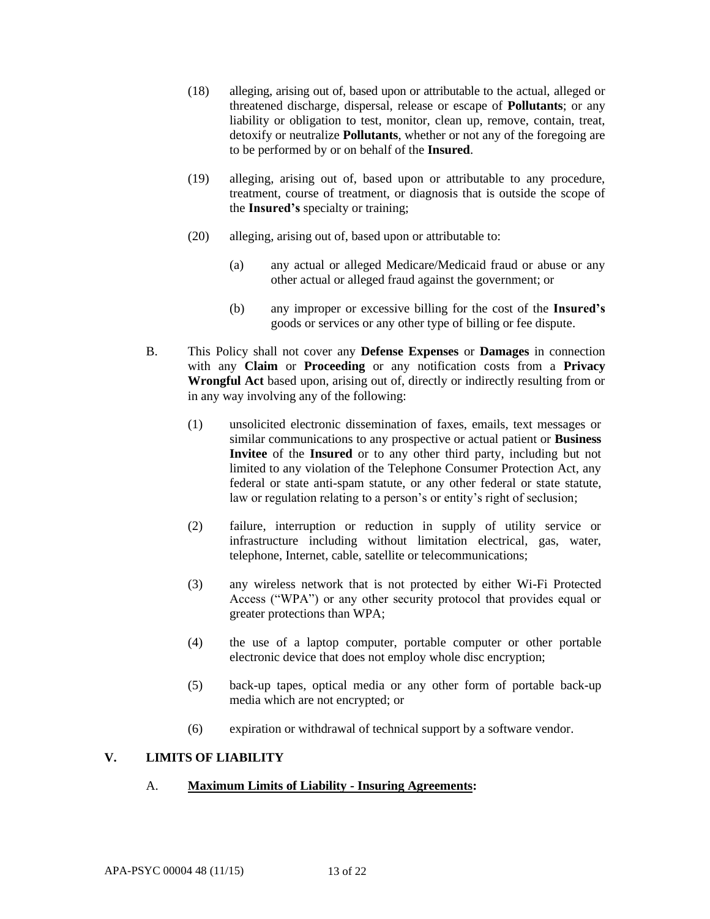- (18) alleging, arising out of, based upon or attributable to the actual, alleged or threatened discharge, dispersal, release or escape of **Pollutants**; or any liability or obligation to test, monitor, clean up, remove, contain, treat, detoxify or neutralize **Pollutants**, whether or not any of the foregoing are to be performed by or on behalf of the **Insured**.
- (19) alleging, arising out of, based upon or attributable to any procedure, treatment, course of treatment, or diagnosis that is outside the scope of the **Insured's** specialty or training;
- (20) alleging, arising out of, based upon or attributable to:
	- (a) any actual or alleged Medicare/Medicaid fraud or abuse or any other actual or alleged fraud against the government; or
	- (b) any improper or excessive billing for the cost of the **Insured's** goods or services or any other type of billing or fee dispute.
- B. This Policy shall not cover any **Defense Expenses** or **Damages** in connection with any **Claim** or **Proceeding** or any notification costs from a **Privacy Wrongful Act** based upon, arising out of, directly or indirectly resulting from or in any way involving any of the following:
	- (1) unsolicited electronic dissemination of faxes, emails, text messages or similar communications to any prospective or actual patient or **Business Invitee** of the **Insured** or to any other third party, including but not limited to any violation of the Telephone Consumer Protection Act, any federal or state anti-spam statute, or any other federal or state statute, law or regulation relating to a person's or entity's right of seclusion;
	- (2) failure, interruption or reduction in supply of utility service or infrastructure including without limitation electrical, gas, water, telephone, Internet, cable, satellite or telecommunications;
	- (3) any wireless network that is not protected by either Wi-Fi Protected Access ("WPA") or any other security protocol that provides equal or greater protections than WPA;
	- (4) the use of a laptop computer, portable computer or other portable electronic device that does not employ whole disc encryption;
	- (5) back-up tapes, optical media or any other form of portable back-up media which are not encrypted; or
	- (6) expiration or withdrawal of technical support by a software vendor.

# **V. LIMITS OF LIABILITY**

### A. **Maximum Limits of Liability - Insuring Agreements:**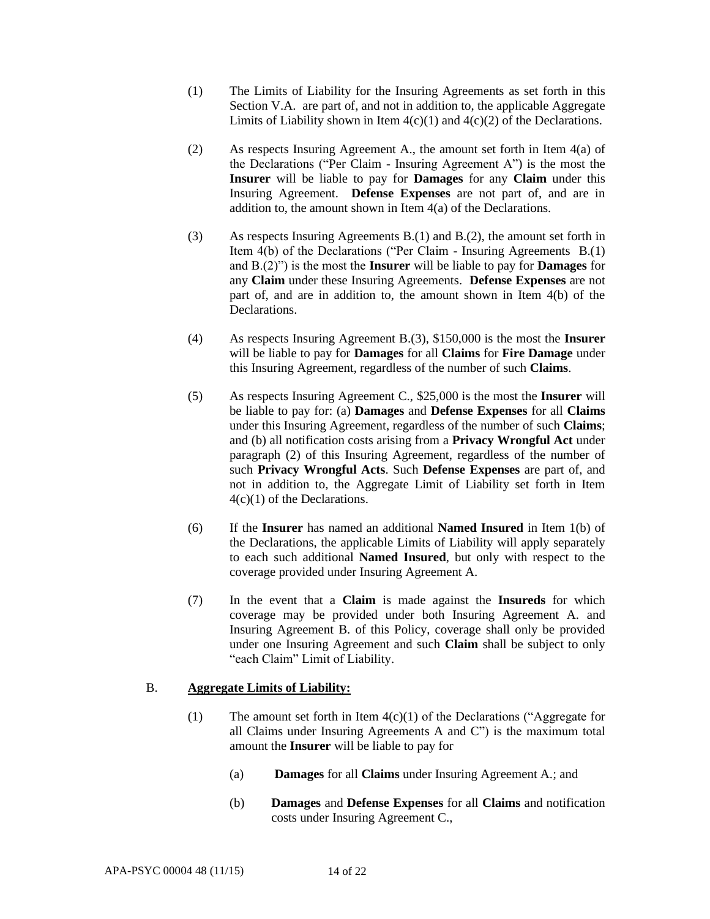- (1) The Limits of Liability for the Insuring Agreements as set forth in this Section V.A. are part of, and not in addition to, the applicable Aggregate Limits of Liability shown in Item  $4(c)(1)$  and  $4(c)(2)$  of the Declarations.
- (2) As respects Insuring Agreement A., the amount set forth in Item 4(a) of the Declarations ("Per Claim - Insuring Agreement A") is the most the **Insurer** will be liable to pay for **Damages** for any **Claim** under this Insuring Agreement. **Defense Expenses** are not part of, and are in addition to, the amount shown in Item 4(a) of the Declarations.
- (3) As respects Insuring Agreements B.(1) and B.(2), the amount set forth in Item 4(b) of the Declarations ("Per Claim - Insuring Agreements B.(1) and B.(2)") is the most the **Insurer** will be liable to pay for **Damages** for any **Claim** under these Insuring Agreements. **Defense Expenses** are not part of, and are in addition to, the amount shown in Item 4(b) of the Declarations.
- (4) As respects Insuring Agreement B.(3), \$150,000 is the most the **Insurer**  will be liable to pay for **Damages** for all **Claims** for **Fire Damage** under this Insuring Agreement, regardless of the number of such **Claims**.
- (5) As respects Insuring Agreement C., \$25,000 is the most the **Insurer** will be liable to pay for: (a) **Damages** and **Defense Expenses** for all **Claims**  under this Insuring Agreement, regardless of the number of such **Claims**; and (b) all notification costs arising from a **Privacy Wrongful Act** under paragraph (2) of this Insuring Agreement, regardless of the number of such **Privacy Wrongful Acts**. Such **Defense Expenses** are part of, and not in addition to, the Aggregate Limit of Liability set forth in Item 4(c)(1) of the Declarations.
- (6) If the **Insurer** has named an additional **Named Insured** in Item 1(b) of the Declarations, the applicable Limits of Liability will apply separately to each such additional **Named Insured**, but only with respect to the coverage provided under Insuring Agreement A.
- (7) In the event that a **Claim** is made against the **Insureds** for which coverage may be provided under both Insuring Agreement A. and Insuring Agreement B. of this Policy, coverage shall only be provided under one Insuring Agreement and such **Claim** shall be subject to only "each Claim" Limit of Liability.

### B. **Aggregate Limits of Liability:**

- (1) The amount set forth in Item  $4(c)(1)$  of the Declarations ("Aggregate for all Claims under Insuring Agreements A and C") is the maximum total amount the **Insurer** will be liable to pay for
	- (a) **Damages** for all **Claims** under Insuring Agreement A.; and
	- (b) **Damages** and **Defense Expenses** for all **Claims** and notification costs under Insuring Agreement C.,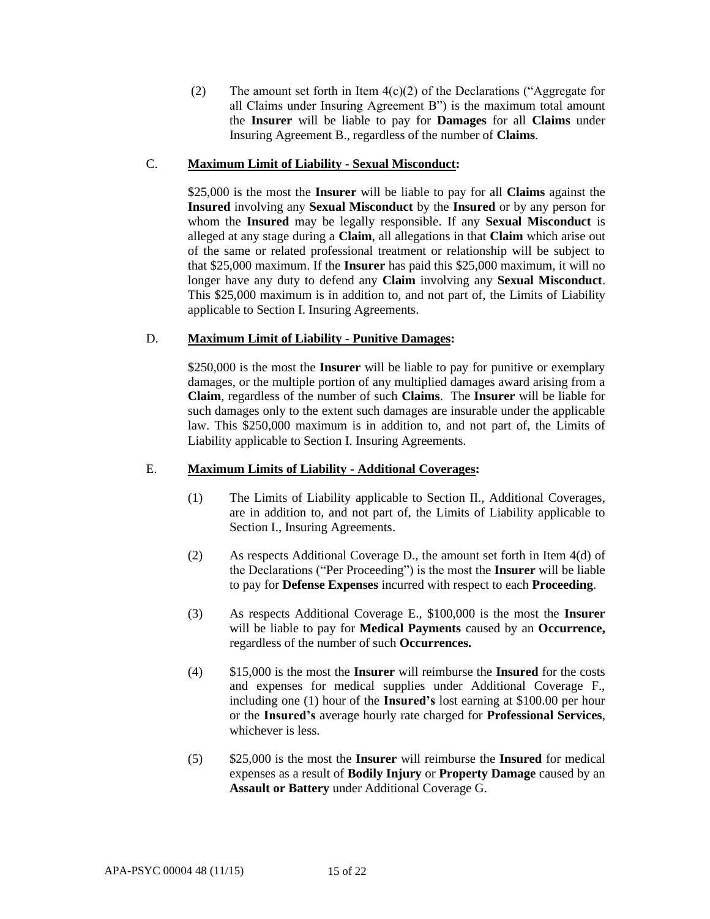(2) The amount set forth in Item  $4(c)(2)$  of the Declarations ("Aggregate for all Claims under Insuring Agreement B") is the maximum total amount the **Insurer** will be liable to pay for **Damages** for all **Claims** under Insuring Agreement B., regardless of the number of **Claims**.

## C. **Maximum Limit of Liability - Sexual Misconduct:**

\$25,000 is the most the **Insurer** will be liable to pay for all **Claims** against the **Insured** involving any **Sexual Misconduct** by the **Insured** or by any person for whom the **Insured** may be legally responsible. If any **Sexual Misconduct** is alleged at any stage during a **Claim**, all allegations in that **Claim** which arise out of the same or related professional treatment or relationship will be subject to that \$25,000 maximum. If the **Insurer** has paid this \$25,000 maximum, it will no longer have any duty to defend any **Claim** involving any **Sexual Misconduct**. This \$25,000 maximum is in addition to, and not part of, the Limits of Liability applicable to Section I. Insuring Agreements.

# D. **Maximum Limit of Liability - Punitive Damages:**

\$250,000 is the most the **Insurer** will be liable to pay for punitive or exemplary damages, or the multiple portion of any multiplied damages award arising from a **Claim**, regardless of the number of such **Claims**. The **Insurer** will be liable for such damages only to the extent such damages are insurable under the applicable law. This \$250,000 maximum is in addition to, and not part of, the Limits of Liability applicable to Section I. Insuring Agreements.

### E. **Maximum Limits of Liability - Additional Coverages:**

- (1) The Limits of Liability applicable to Section II., Additional Coverages, are in addition to, and not part of, the Limits of Liability applicable to Section I., Insuring Agreements.
- (2) As respects Additional Coverage D., the amount set forth in Item 4(d) of the Declarations ("Per Proceeding") is the most the **Insurer** will be liable to pay for **Defense Expenses** incurred with respect to each **Proceeding**.
- (3) As respects Additional Coverage E., \$100,000 is the most the **Insurer**  will be liable to pay for **Medical Payments** caused by an **Occurrence,**  regardless of the number of such **Occurrences.**
- (4) \$15,000 is the most the **Insurer** will reimburse the **Insured** for the costs and expenses for medical supplies under Additional Coverage F., including one (1) hour of the **Insured's** lost earning at \$100.00 per hour or the **Insured's** average hourly rate charged for **Professional Services**, whichever is less.
- (5) \$25,000 is the most the **Insurer** will reimburse the **Insured** for medical expenses as a result of **Bodily Injury** or **Property Damage** caused by an **Assault or Battery** under Additional Coverage G.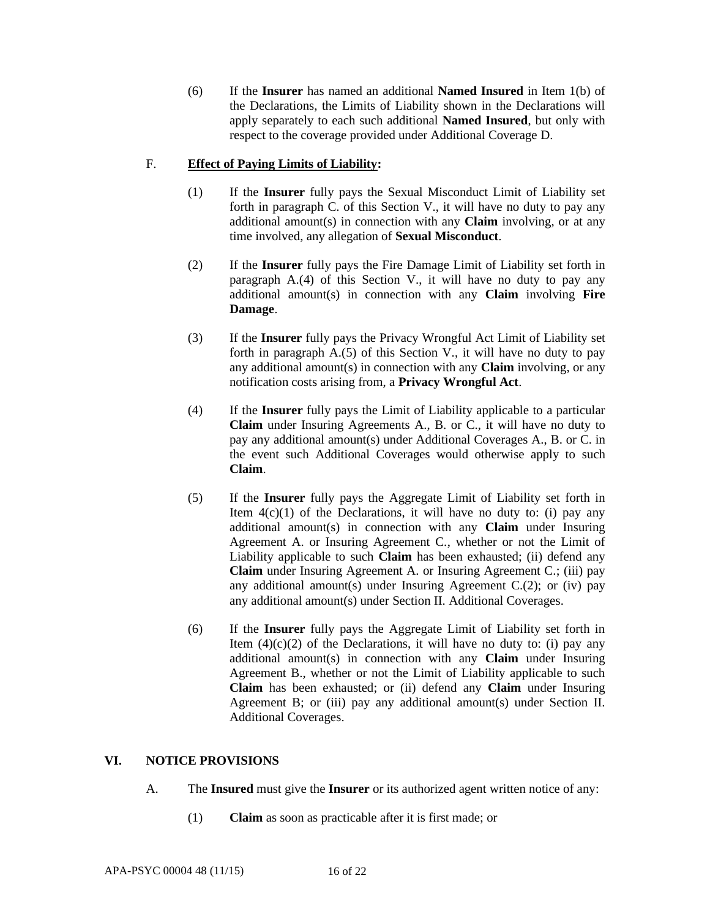(6) If the **Insurer** has named an additional **Named Insured** in Item 1(b) of the Declarations, the Limits of Liability shown in the Declarations will apply separately to each such additional **Named Insured**, but only with respect to the coverage provided under Additional Coverage D.

# F. **Effect of Paying Limits of Liability:**

- (1) If the **Insurer** fully pays the Sexual Misconduct Limit of Liability set forth in paragraph C. of this Section V., it will have no duty to pay any additional amount(s) in connection with any **Claim** involving, or at any time involved, any allegation of **Sexual Misconduct**.
- (2) If the **Insurer** fully pays the Fire Damage Limit of Liability set forth in paragraph A.(4) of this Section V., it will have no duty to pay any additional amount(s) in connection with any **Claim** involving **Fire Damage**.
- (3) If the **Insurer** fully pays the Privacy Wrongful Act Limit of Liability set forth in paragraph  $A(5)$  of this Section V., it will have no duty to pay any additional amount(s) in connection with any **Claim** involving, or any notification costs arising from, a **Privacy Wrongful Act**.
- (4) If the **Insurer** fully pays the Limit of Liability applicable to a particular **Claim** under Insuring Agreements A., B. or C., it will have no duty to pay any additional amount(s) under Additional Coverages A., B. or C. in the event such Additional Coverages would otherwise apply to such **Claim**.
- (5) If the **Insurer** fully pays the Aggregate Limit of Liability set forth in Item  $4(c)(1)$  of the Declarations, it will have no duty to: (i) pay any additional amount(s) in connection with any **Claim** under Insuring Agreement A. or Insuring Agreement C., whether or not the Limit of Liability applicable to such **Claim** has been exhausted; (ii) defend any **Claim** under Insuring Agreement A. or Insuring Agreement C.; (iii) pay any additional amount(s) under Insuring Agreement C.(2); or (iv) pay any additional amount(s) under Section II. Additional Coverages.
- (6) If the **Insurer** fully pays the Aggregate Limit of Liability set forth in Item  $(4)(c)(2)$  of the Declarations, it will have no duty to: (i) pay any additional amount(s) in connection with any **Claim** under Insuring Agreement B., whether or not the Limit of Liability applicable to such **Claim** has been exhausted; or (ii) defend any **Claim** under Insuring Agreement B; or (iii) pay any additional amount(s) under Section II. Additional Coverages.

### **VI. NOTICE PROVISIONS**

- A. The **Insured** must give the **Insurer** or its authorized agent written notice of any:
	- (1) **Claim** as soon as practicable after it is first made; or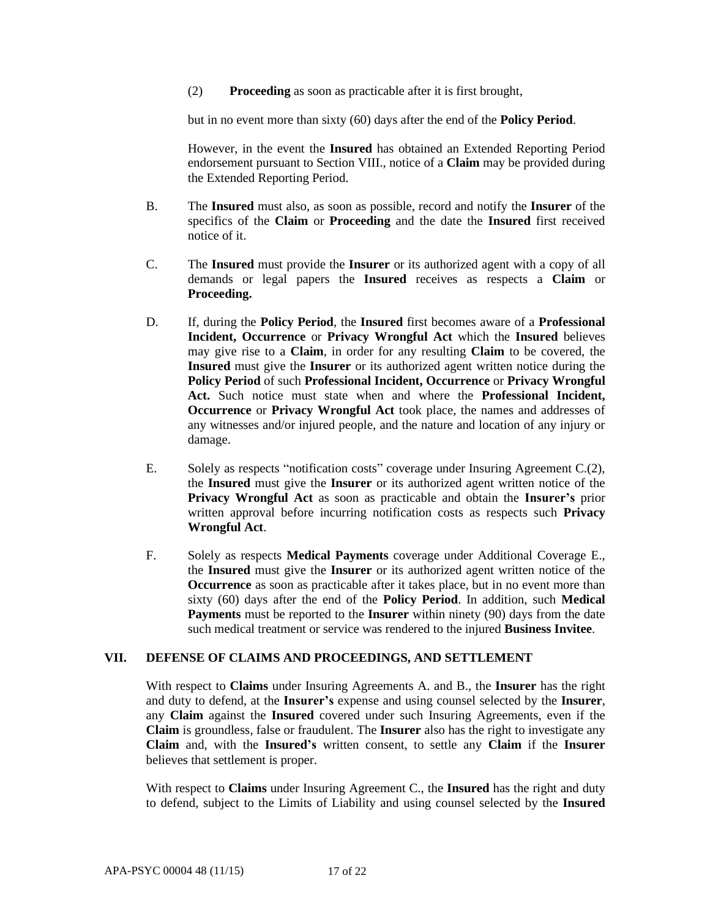(2) **Proceeding** as soon as practicable after it is first brought,

but in no event more than sixty (60) days after the end of the **Policy Period**.

However, in the event the **Insured** has obtained an Extended Reporting Period endorsement pursuant to Section VIII., notice of a **Claim** may be provided during the Extended Reporting Period.

- B. The **Insured** must also, as soon as possible, record and notify the **Insurer** of the specifics of the **Claim** or **Proceeding** and the date the **Insured** first received notice of it.
- C. The **Insured** must provide the **Insurer** or its authorized agent with a copy of all demands or legal papers the **Insured** receives as respects a **Claim** or **Proceeding.**
- D. If, during the **Policy Period**, the **Insured** first becomes aware of a **Professional Incident, Occurrence** or **Privacy Wrongful Act** which the **Insured** believes may give rise to a **Claim**, in order for any resulting **Claim** to be covered, the **Insured** must give the **Insurer** or its authorized agent written notice during the **Policy Period** of such **Professional Incident, Occurrence** or **Privacy Wrongful Act.** Such notice must state when and where the **Professional Incident, Occurrence** or **Privacy Wrongful Act** took place, the names and addresses of any witnesses and/or injured people, and the nature and location of any injury or damage.
- E. Solely as respects "notification costs" coverage under Insuring Agreement C.(2), the **Insured** must give the **Insurer** or its authorized agent written notice of the **Privacy Wrongful Act** as soon as practicable and obtain the **Insurer's** prior written approval before incurring notification costs as respects such **Privacy Wrongful Act**.
- F. Solely as respects **Medical Payments** coverage under Additional Coverage E., the **Insured** must give the **Insurer** or its authorized agent written notice of the **Occurrence** as soon as practicable after it takes place, but in no event more than sixty (60) days after the end of the **Policy Period**. In addition, such **Medical Payments** must be reported to the **Insurer** within ninety (90) days from the date such medical treatment or service was rendered to the injured **Business Invitee**.

### **VII. DEFENSE OF CLAIMS AND PROCEEDINGS, AND SETTLEMENT**

With respect to **Claims** under Insuring Agreements A. and B., the **Insurer** has the right and duty to defend, at the **Insurer's** expense and using counsel selected by the **Insurer**, any **Claim** against the **Insured** covered under such Insuring Agreements, even if the **Claim** is groundless, false or fraudulent. The **Insurer** also has the right to investigate any **Claim** and, with the **Insured's** written consent, to settle any **Claim** if the **Insurer**  believes that settlement is proper.

With respect to **Claims** under Insuring Agreement C., the **Insured** has the right and duty to defend, subject to the Limits of Liability and using counsel selected by the **Insured**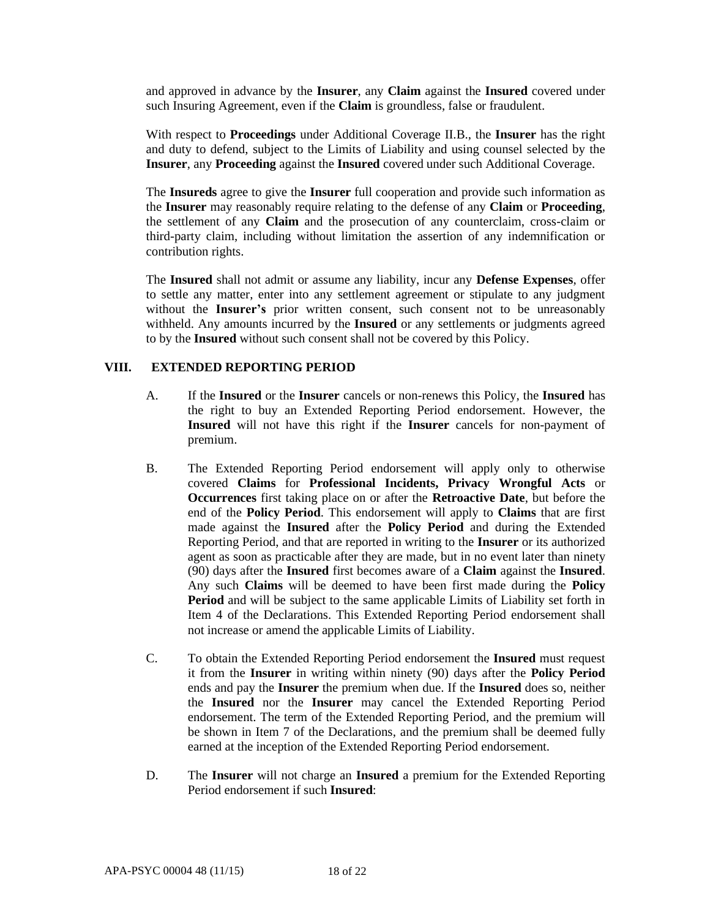and approved in advance by the **Insurer**, any **Claim** against the **Insured** covered under such Insuring Agreement, even if the **Claim** is groundless, false or fraudulent.

With respect to **Proceedings** under Additional Coverage II.B., the **Insurer** has the right and duty to defend, subject to the Limits of Liability and using counsel selected by the **Insurer**, any **Proceeding** against the **Insured** covered under such Additional Coverage.

The **Insureds** agree to give the **Insurer** full cooperation and provide such information as the **Insurer** may reasonably require relating to the defense of any **Claim** or **Proceeding**, the settlement of any **Claim** and the prosecution of any counterclaim, cross-claim or third-party claim, including without limitation the assertion of any indemnification or contribution rights.

The **Insured** shall not admit or assume any liability, incur any **Defense Expenses**, offer to settle any matter, enter into any settlement agreement or stipulate to any judgment without the **Insurer's** prior written consent, such consent not to be unreasonably withheld. Any amounts incurred by the **Insured** or any settlements or judgments agreed to by the **Insured** without such consent shall not be covered by this Policy.

#### **VIII. EXTENDED REPORTING PERIOD**

- A. If the **Insured** or the **Insurer** cancels or non-renews this Policy, the **Insured** has the right to buy an Extended Reporting Period endorsement. However, the **Insured** will not have this right if the **Insurer** cancels for non-payment of premium.
- B. The Extended Reporting Period endorsement will apply only to otherwise covered **Claims** for **Professional Incidents, Privacy Wrongful Acts** or **Occurrences** first taking place on or after the **Retroactive Date**, but before the end of the **Policy Period**. This endorsement will apply to **Claims** that are first made against the **Insured** after the **Policy Period** and during the Extended Reporting Period, and that are reported in writing to the **Insurer** or its authorized agent as soon as practicable after they are made, but in no event later than ninety (90) days after the **Insured** first becomes aware of a **Claim** against the **Insured**. Any such **Claims** will be deemed to have been first made during the **Policy Period** and will be subject to the same applicable Limits of Liability set forth in Item 4 of the Declarations. This Extended Reporting Period endorsement shall not increase or amend the applicable Limits of Liability.
- C. To obtain the Extended Reporting Period endorsement the **Insured** must request it from the **Insurer** in writing within ninety (90) days after the **Policy Period** ends and pay the **Insurer** the premium when due. If the **Insured** does so, neither the **Insured** nor the **Insurer** may cancel the Extended Reporting Period endorsement. The term of the Extended Reporting Period, and the premium will be shown in Item 7 of the Declarations, and the premium shall be deemed fully earned at the inception of the Extended Reporting Period endorsement.
- D. The **Insurer** will not charge an **Insured** a premium for the Extended Reporting Period endorsement if such **Insured**: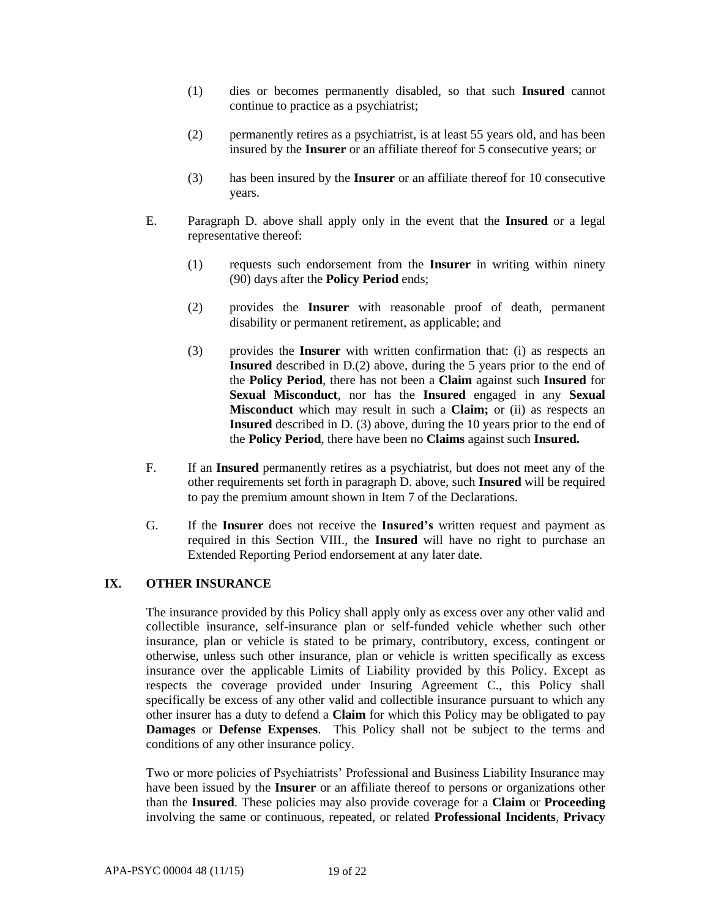- (1) dies or becomes permanently disabled, so that such **Insured** cannot continue to practice as a psychiatrist;
- (2) permanently retires as a psychiatrist, is at least 55 years old, and has been insured by the **Insurer** or an affiliate thereof for 5 consecutive years; or
- (3) has been insured by the **Insurer** or an affiliate thereof for 10 consecutive years.
- E. Paragraph D. above shall apply only in the event that the **Insured** or a legal representative thereof:
	- (1) requests such endorsement from the **Insurer** in writing within ninety (90) days after the **Policy Period** ends;
	- (2) provides the **Insurer** with reasonable proof of death, permanent disability or permanent retirement, as applicable; and
	- (3) provides the **Insurer** with written confirmation that: (i) as respects an **Insured** described in D.(2) above, during the 5 years prior to the end of the **Policy Period**, there has not been a **Claim** against such **Insured** for **Sexual Misconduct**, nor has the **Insured** engaged in any **Sexual Misconduct** which may result in such a **Claim;** or (ii) as respects an **Insured** described in D. (3) above, during the 10 years prior to the end of the **Policy Period**, there have been no **Claims** against such **Insured.**
- F. If an **Insured** permanently retires as a psychiatrist, but does not meet any of the other requirements set forth in paragraph D. above, such **Insured** will be required to pay the premium amount shown in Item 7 of the Declarations.
- G. If the **Insurer** does not receive the **Insured's** written request and payment as required in this Section VIII., the **Insured** will have no right to purchase an Extended Reporting Period endorsement at any later date.

### **IX. OTHER INSURANCE**

The insurance provided by this Policy shall apply only as excess over any other valid and collectible insurance, self-insurance plan or self-funded vehicle whether such other insurance, plan or vehicle is stated to be primary, contributory, excess, contingent or otherwise, unless such other insurance, plan or vehicle is written specifically as excess insurance over the applicable Limits of Liability provided by this Policy. Except as respects the coverage provided under Insuring Agreement C., this Policy shall specifically be excess of any other valid and collectible insurance pursuant to which any other insurer has a duty to defend a **Claim** for which this Policy may be obligated to pay **Damages** or **Defense Expenses**. This Policy shall not be subject to the terms and conditions of any other insurance policy.

Two or more policies of Psychiatrists' Professional and Business Liability Insurance may have been issued by the **Insurer** or an affiliate thereof to persons or organizations other than the **Insured**. These policies may also provide coverage for a **Claim** or **Proceeding** involving the same or continuous, repeated, or related **Professional Incidents**, **Privacy**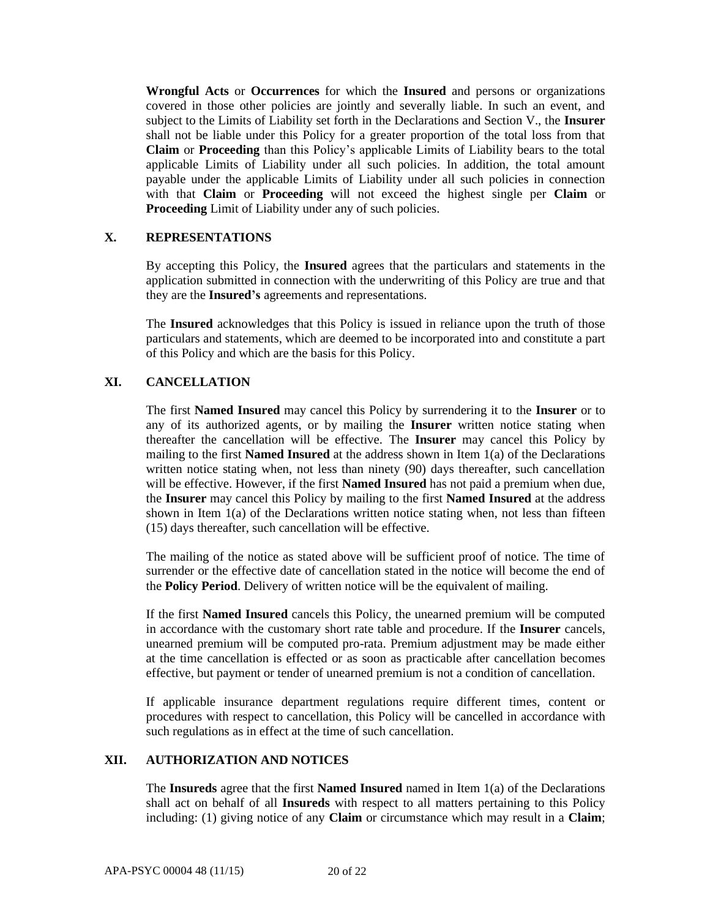**Wrongful Acts** or **Occurrences** for which the **Insured** and persons or organizations covered in those other policies are jointly and severally liable. In such an event, and subject to the Limits of Liability set forth in the Declarations and Section V., the **Insurer**  shall not be liable under this Policy for a greater proportion of the total loss from that **Claim** or **Proceeding** than this Policy's applicable Limits of Liability bears to the total applicable Limits of Liability under all such policies. In addition, the total amount payable under the applicable Limits of Liability under all such policies in connection with that **Claim** or **Proceeding** will not exceed the highest single per **Claim** or **Proceeding** Limit of Liability under any of such policies.

#### **X. REPRESENTATIONS**

By accepting this Policy, the **Insured** agrees that the particulars and statements in the application submitted in connection with the underwriting of this Policy are true and that they are the **Insured's** agreements and representations.

The **Insured** acknowledges that this Policy is issued in reliance upon the truth of those particulars and statements, which are deemed to be incorporated into and constitute a part of this Policy and which are the basis for this Policy.

### **XI. CANCELLATION**

The first **Named Insured** may cancel this Policy by surrendering it to the **Insurer** or to any of its authorized agents, or by mailing the **Insurer** written notice stating when thereafter the cancellation will be effective. The **Insurer** may cancel this Policy by mailing to the first **Named Insured** at the address shown in Item 1(a) of the Declarations written notice stating when, not less than ninety (90) days thereafter, such cancellation will be effective. However, if the first **Named Insured** has not paid a premium when due, the **Insurer** may cancel this Policy by mailing to the first **Named Insured** at the address shown in Item  $1(a)$  of the Declarations written notice stating when, not less than fifteen (15) days thereafter, such cancellation will be effective.

The mailing of the notice as stated above will be sufficient proof of notice. The time of surrender or the effective date of cancellation stated in the notice will become the end of the **Policy Period**. Delivery of written notice will be the equivalent of mailing.

If the first **Named Insured** cancels this Policy, the unearned premium will be computed in accordance with the customary short rate table and procedure. If the **Insurer** cancels, unearned premium will be computed pro-rata. Premium adjustment may be made either at the time cancellation is effected or as soon as practicable after cancellation becomes effective, but payment or tender of unearned premium is not a condition of cancellation.

If applicable insurance department regulations require different times, content or procedures with respect to cancellation, this Policy will be cancelled in accordance with such regulations as in effect at the time of such cancellation.

## **XII. AUTHORIZATION AND NOTICES**

The **Insureds** agree that the first **Named Insured** named in Item 1(a) of the Declarations shall act on behalf of all **Insureds** with respect to all matters pertaining to this Policy including: (1) giving notice of any **Claim** or circumstance which may result in a **Claim**;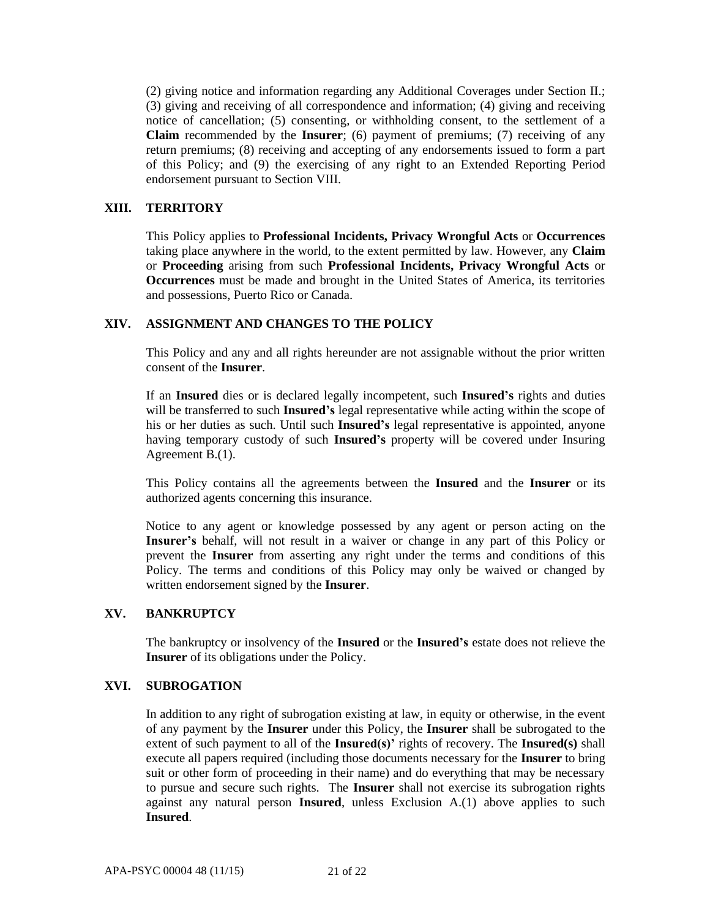(2) giving notice and information regarding any Additional Coverages under Section II.; (3) giving and receiving of all correspondence and information; (4) giving and receiving notice of cancellation; (5) consenting, or withholding consent, to the settlement of a **Claim** recommended by the **Insurer**; (6) payment of premiums; (7) receiving of any return premiums; (8) receiving and accepting of any endorsements issued to form a part of this Policy; and (9) the exercising of any right to an Extended Reporting Period endorsement pursuant to Section VIII.

### **XIII. TERRITORY**

This Policy applies to **Professional Incidents, Privacy Wrongful Acts** or **Occurrences** taking place anywhere in the world, to the extent permitted by law. However, any **Claim**  or **Proceeding** arising from such **Professional Incidents, Privacy Wrongful Acts** or **Occurrences** must be made and brought in the United States of America, its territories and possessions, Puerto Rico or Canada.

### **XIV. ASSIGNMENT AND CHANGES TO THE POLICY**

This Policy and any and all rights hereunder are not assignable without the prior written consent of the **Insurer**.

If an **Insured** dies or is declared legally incompetent, such **Insured's** rights and duties will be transferred to such **Insured's** legal representative while acting within the scope of his or her duties as such. Until such **Insured's** legal representative is appointed, anyone having temporary custody of such **Insured's** property will be covered under Insuring Agreement B.(1).

This Policy contains all the agreements between the **Insured** and the **Insurer** or its authorized agents concerning this insurance.

Notice to any agent or knowledge possessed by any agent or person acting on the **Insurer's** behalf, will not result in a waiver or change in any part of this Policy or prevent the **Insurer** from asserting any right under the terms and conditions of this Policy. The terms and conditions of this Policy may only be waived or changed by written endorsement signed by the **Insurer**.

### **XV. BANKRUPTCY**

The bankruptcy or insolvency of the **Insured** or the **Insured's** estate does not relieve the **Insurer** of its obligations under the Policy.

### **XVI. SUBROGATION**

In addition to any right of subrogation existing at law, in equity or otherwise, in the event of any payment by the **Insurer** under this Policy, the **Insurer** shall be subrogated to the extent of such payment to all of the **Insured(s)'** rights of recovery. The **Insured(s)** shall execute all papers required (including those documents necessary for the **Insurer** to bring suit or other form of proceeding in their name) and do everything that may be necessary to pursue and secure such rights. The **Insurer** shall not exercise its subrogation rights against any natural person **Insured**, unless Exclusion A.(1) above applies to such **Insured**.